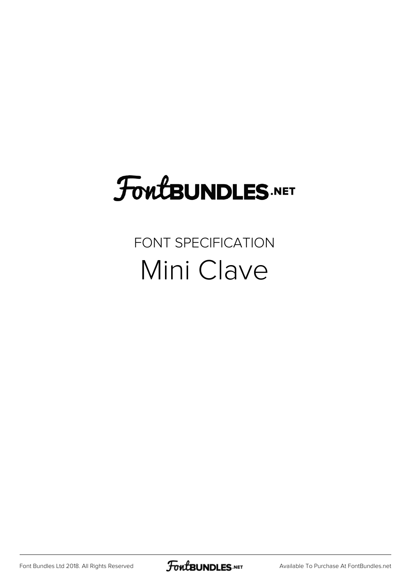## FoutBUNDLES.NET

## FONT SPECIFICATION Mini Clave

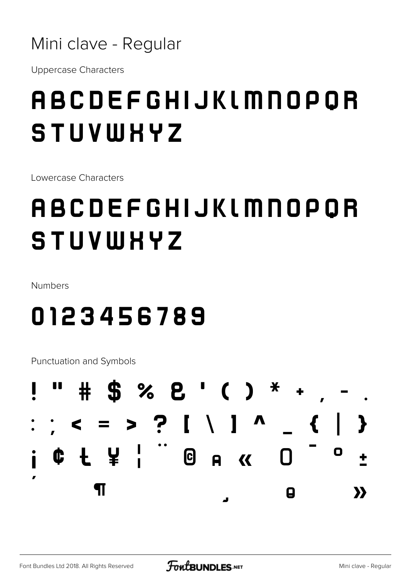### Mini clave - Regular

**Uppercase Characters** 

## ABCDEFGHIJKLMNOPOR STUVWHYZ

Lowercase Characters

## ABCDEFGHIJKLMNOPOR STUVWHYZ

Numbers

## 0123456789

Punctuation and Symbols

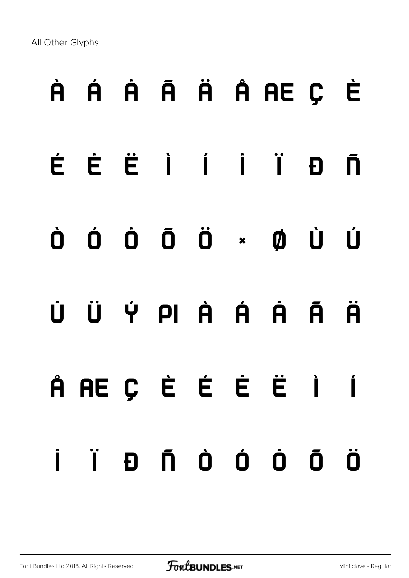All Other Glyphs

# À Á Â Ã Ä Å Æ Ç È É Ê Ë Ì Í Î Ï Ð Ñ Ò Ó Ô Õ Ö × Ø Ù Ú Û Ü Ý Þ à á â ã ä å æ ç è é ê ë ì í î ï ð ñ ò ó ô õ ö